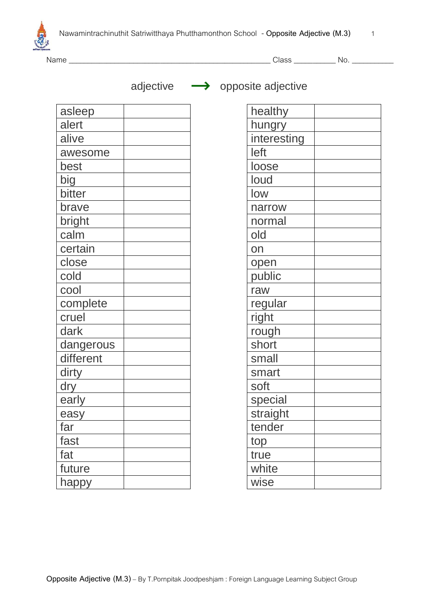



Name \_\_\_\_\_\_\_\_\_\_\_\_\_\_\_\_\_\_\_\_\_\_\_\_\_\_\_\_\_\_\_\_\_\_\_\_\_\_\_\_\_\_\_\_\_\_\_\_\_\_\_\_\_ Class \_\_\_\_\_\_\_\_\_\_\_ No. \_\_\_\_\_\_\_\_\_\_\_

adjective  $\longrightarrow$  opposite adjective

| asleep    |  |
|-----------|--|
| alert     |  |
| alive     |  |
| awesome   |  |
| best      |  |
| big       |  |
| bitter    |  |
| brave     |  |
| bright    |  |
| calm      |  |
| certain   |  |
| close     |  |
| cold      |  |
| cool      |  |
| complete  |  |
| cruel     |  |
| dark      |  |
| dangerous |  |
| different |  |
| dirty     |  |
| dry       |  |
| early     |  |
| easy      |  |
| far       |  |
| fast      |  |
| fat       |  |
| future    |  |
| happy     |  |

| healthy     |  |
|-------------|--|
| hungry      |  |
| interesting |  |
| left        |  |
| loose       |  |
| loud        |  |
| low         |  |
| narrow      |  |
| normal      |  |
| old         |  |
| on          |  |
| open        |  |
| public      |  |
| raw         |  |
| regular     |  |
| right       |  |
| rough       |  |
| short       |  |
| small       |  |
| smart       |  |
| soft        |  |
| special     |  |
| straight    |  |
| tender      |  |
| top         |  |
| true        |  |
| white       |  |
| wise        |  |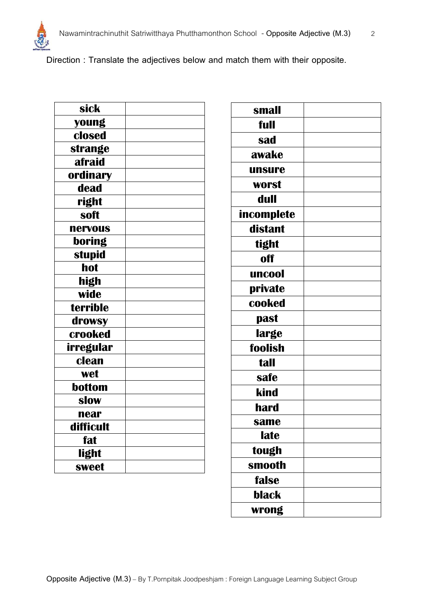

**Direction : Translate the adjectives below and match them with their opposite.**

| sick            |  |
|-----------------|--|
| young           |  |
| closed          |  |
| strange         |  |
| afraid          |  |
| <b>ordinary</b> |  |
| dead            |  |
| right           |  |
| soft            |  |
| nervous         |  |
| boring          |  |
| <b>stupid</b>   |  |
| hot             |  |
| high            |  |
| wide            |  |
| terrible        |  |
| drowsy          |  |
| crooked         |  |
| irregular       |  |
| clean           |  |
| wet             |  |
| bottom          |  |
| slow            |  |
| near            |  |
| difficult       |  |
| fat             |  |
| light           |  |
| sweet           |  |
|                 |  |

**Opposite Adjective (M.3)** – By T.Pornpitak Joodpeshjam : Foreign Language Learning Subject Group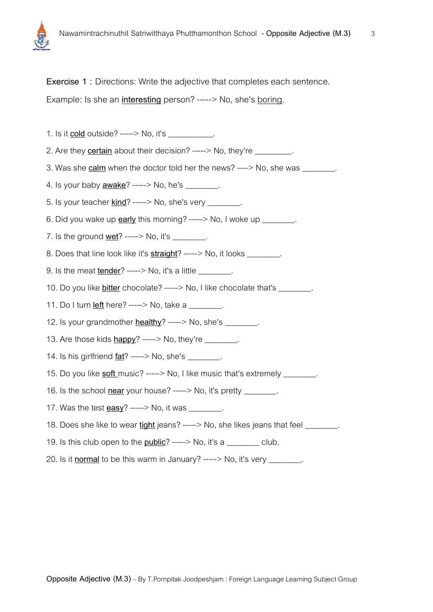**Exercise 1 :** Directions: Write the adjective that completes each sentence. Example: Is she an **interesting** person? -----> No, she's boring.